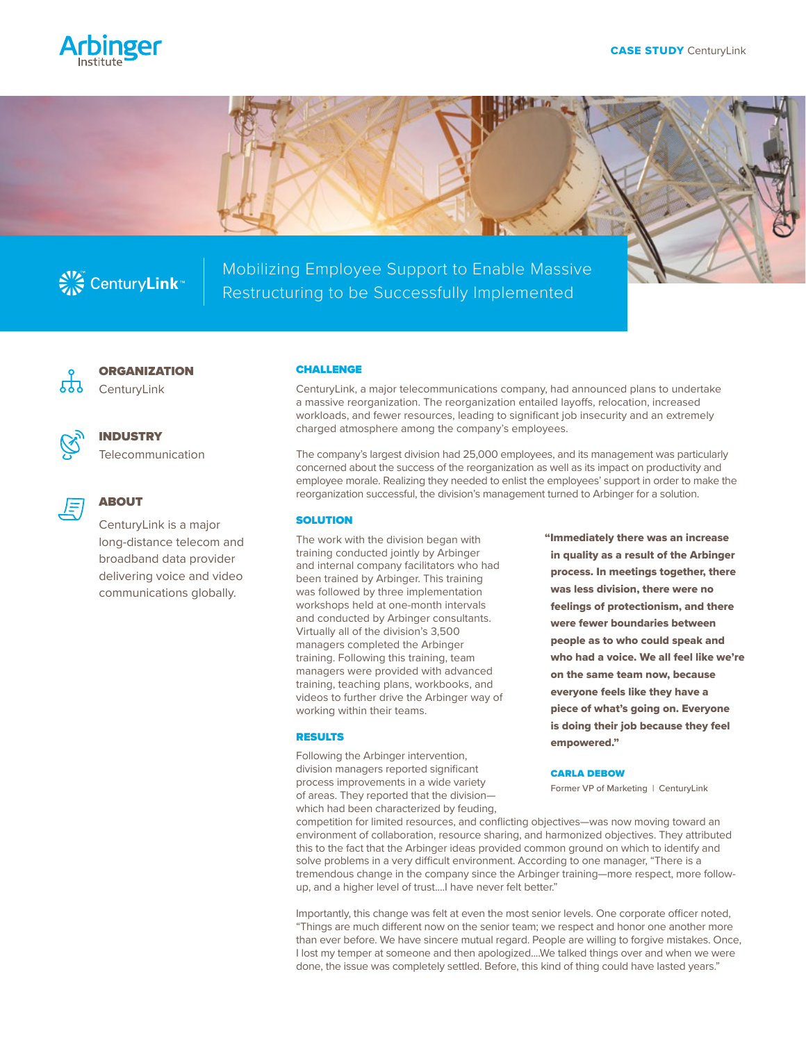





Mobilizing Employee Support to Enable Massive Restructuring to be Successfully Implemented



**ORGANIZATION** 

**CenturyLink** 



# INDUSTRY

Telecommunication



# ABOUT

CenturyLink is a major long-distance telecom and broadband data provider delivering voice and video communications globally.

#### CHALLENGE

CenturyLink, a major telecommunications company, had announced plans to undertake a massive reorganization. The reorganization entailed layoffs, relocation, increased workloads, and fewer resources, leading to significant job insecurity and an extremely charged atmosphere among the company's employees.

The company's largest division had 25,000 employees, and its management was particularly concerned about the success of the reorganization as well as its impact on productivity and employee morale. Realizing they needed to enlist the employees' support in order to make the reorganization successful, the division's management turned to Arbinger for a solution.

## **SOLUTION**

The work with the division began with training conducted jointly by Arbinger and internal company facilitators who had been trained by Arbinger. This training was followed by three implementation workshops held at one-month intervals and conducted by Arbinger consultants. Virtually all of the division's 3,500 managers completed the Arbinger training. Following this training, team managers were provided with advanced training, teaching plans, workbooks, and videos to further drive the Arbinger way of working within their teams.

### RESULTS

Following the Arbinger intervention, division managers reported significant process improvements in a wide variety of areas. They reported that the division which had been characterized by feuding, "Immediately there was an increase in quality as a result of the Arbinger process. In meetings together, there was less division, there were no feelings of protectionism, and there were fewer boundaries between people as to who could speak and who had a voice. We all feel like we're on the same team now, because everyone feels like they have a piece of what's going on. Everyone is doing their job because they feel empowered."

### CARLA DEBOW

Former VP of Marketing | CenturyLink

competition for limited resources, and conflicting objectives—was now moving toward an environment of collaboration, resource sharing, and harmonized objectives. They attributed this to the fact that the Arbinger ideas provided common ground on which to identify and solve problems in a very difficult environment. According to one manager, "There is a tremendous change in the company since the Arbinger training—more respect, more followup, and a higher level of trust....I have never felt better."

Importantly, this change was felt at even the most senior levels. One corporate officer noted, "Things are much different now on the senior team; we respect and honor one another more than ever before. We have sincere mutual regard. People are willing to forgive mistakes. Once, I lost my temper at someone and then apologized....We talked things over and when we were done, the issue was completely settled. Before, this kind of thing could have lasted years."